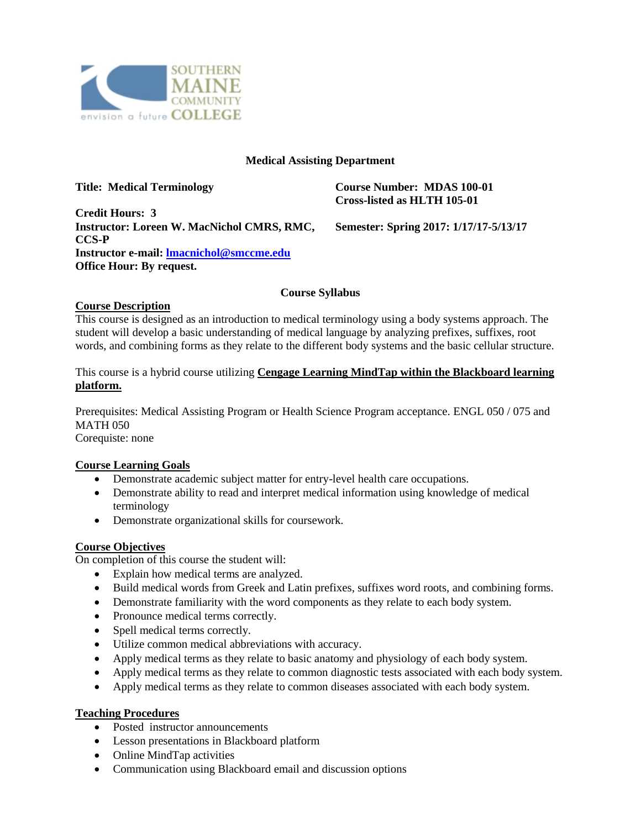

### **Medical Assisting Department**

| <b>Title: Medical Terminology</b>                 | <b>Course Number: MDAS 100-01</b><br>Cross-listed as HLTH 105-01 |
|---------------------------------------------------|------------------------------------------------------------------|
| <b>Credit Hours: 3</b>                            |                                                                  |
| <b>Instructor: Loreen W. MacNichol CMRS, RMC,</b> | Semester: Spring 2017: 1/17/17-5/13/17                           |
| <b>CCS-P</b>                                      |                                                                  |
| Instructor e-mail: Imacnichol@smccme.edu          |                                                                  |
| <b>Office Hour: By request.</b>                   |                                                                  |

### **Course Syllabus**

#### **Course Description**

This course is designed as an introduction to medical terminology using a body systems approach. The student will develop a basic understanding of medical language by analyzing prefixes, suffixes, root words, and combining forms as they relate to the different body systems and the basic cellular structure.

This course is a hybrid course utilizing **Cengage Learning MindTap within the Blackboard learning platform.**

Prerequisites: Medical Assisting Program or Health Science Program acceptance. ENGL 050 / 075 and MATH 050

Corequiste: none

### **Course Learning Goals**

- Demonstrate academic subject matter for entry-level health care occupations.
- Demonstrate ability to read and interpret medical information using knowledge of medical terminology
- Demonstrate organizational skills for coursework.

### **Course Objectives**

On completion of this course the student will:

- Explain how medical terms are analyzed.
- Build medical words from Greek and Latin prefixes, suffixes word roots, and combining forms.
- Demonstrate familiarity with the word components as they relate to each body system.
- Pronounce medical terms correctly.
- Spell medical terms correctly.
- Utilize common medical abbreviations with accuracy.
- Apply medical terms as they relate to basic anatomy and physiology of each body system.
- Apply medical terms as they relate to common diagnostic tests associated with each body system.
- Apply medical terms as they relate to common diseases associated with each body system.

## **Teaching Procedures**

- Posted instructor announcements
- Lesson presentations in Blackboard platform
- Online MindTap activities
- Communication using Blackboard email and discussion options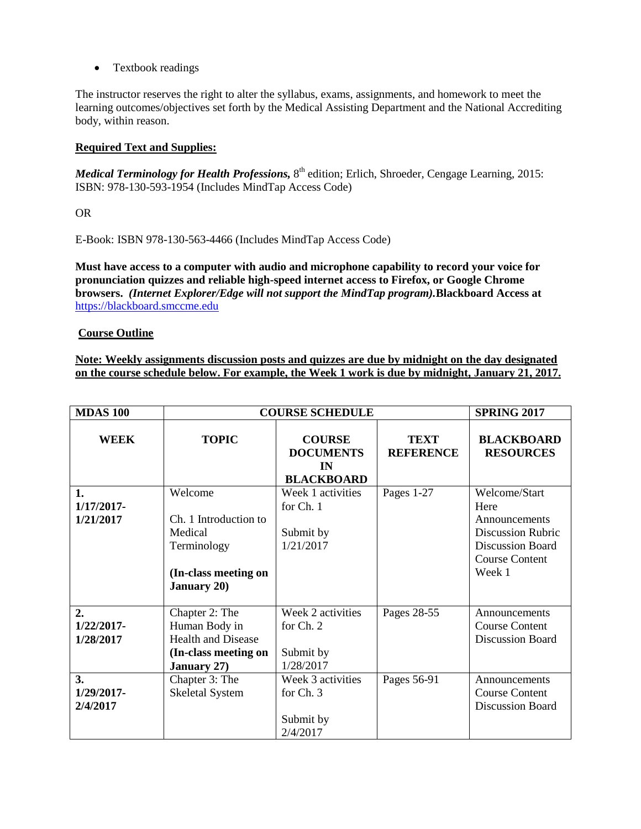• Textbook readings

The instructor reserves the right to alter the syllabus, exams, assignments, and homework to meet the learning outcomes/objectives set forth by the Medical Assisting Department and the National Accrediting body, within reason.

## **Required Text and Supplies:**

Medical Terminology for Health Professions, 8<sup>th</sup> edition; Erlich, Shroeder, Cengage Learning, 2015: ISBN: 978-130-593-1954 (Includes MindTap Access Code)

OR

E-Book: ISBN 978-130-563-4466 (Includes MindTap Access Code)

**Must have access to a computer with audio and microphone capability to record your voice for pronunciation quizzes and reliable high-speed internet access to Firefox, or Google Chrome browsers.** *(Internet Explorer/Edge will not support the MindTap program).***Blackboard Access at** https://blackboard.smccme.edu

### **Course Outline**

**Note: Weekly assignments discussion posts and quizzes are due by midnight on the day designated on the course schedule below. For example, the Week 1 work is due by midnight, January 21, 2017.**

| <b>MDAS 100</b>                                | <b>COURSE SCHEDULE</b>                                                                                   |                                                              |                                 | <b>SPRING 2017</b>                                                                                                               |
|------------------------------------------------|----------------------------------------------------------------------------------------------------------|--------------------------------------------------------------|---------------------------------|----------------------------------------------------------------------------------------------------------------------------------|
| <b>WEEK</b>                                    | <b>TOPIC</b>                                                                                             | <b>COURSE</b><br><b>DOCUMENTS</b><br>IN<br><b>BLACKBOARD</b> | <b>TEXT</b><br><b>REFERENCE</b> | <b>BLACKBOARD</b><br><b>RESOURCES</b>                                                                                            |
| 1.<br>1/17/2017-<br>1/21/2017                  | Welcome<br>Ch. 1 Introduction to<br>Medical<br>Terminology<br>(In-class meeting on<br><b>January 20)</b> | Week 1 activities<br>for Ch. 1<br>Submit by<br>1/21/2017     | Pages 1-27                      | Welcome/Start<br>Here<br>Announcements<br><b>Discussion Rubric</b><br><b>Discussion Board</b><br><b>Course Content</b><br>Week 1 |
| $\overline{2}$ .<br>$1/22/2017$ -<br>1/28/2017 | Chapter 2: The<br>Human Body in<br>Health and Disease<br>(In-class meeting on<br><b>January 27)</b>      | Week 2 activities<br>for Ch. 2<br>Submit by<br>1/28/2017     | Pages 28-55                     | Announcements<br><b>Course Content</b><br>Discussion Board                                                                       |
| 3.<br>1/29/2017-<br>2/4/2017                   | Chapter 3: The<br><b>Skeletal System</b>                                                                 | Week 3 activities<br>for Ch. 3<br>Submit by<br>2/4/2017      | Pages 56-91                     | Announcements<br><b>Course Content</b><br>Discussion Board                                                                       |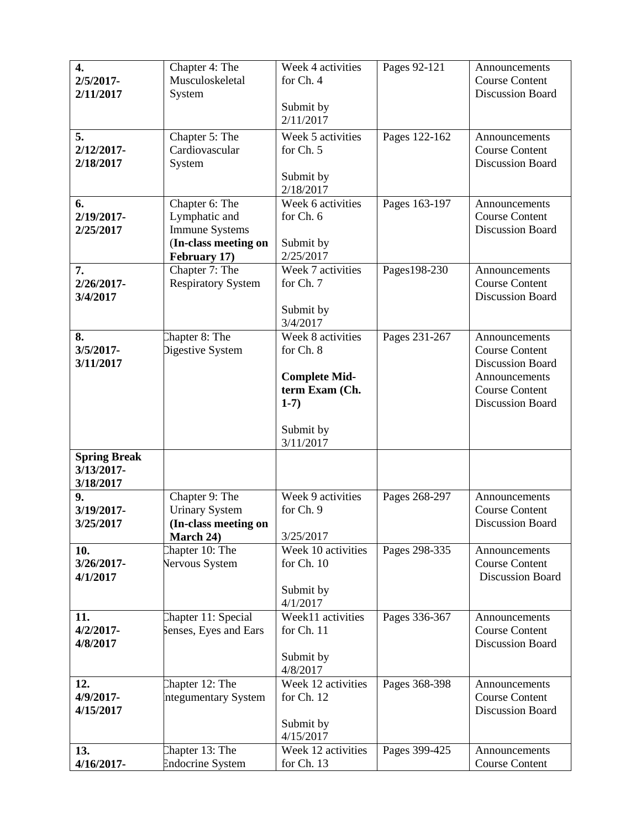| $\overline{4}$ .          | Chapter 4: The                           | Week 4 activities                | Pages 92-121  | Announcements                             |
|---------------------------|------------------------------------------|----------------------------------|---------------|-------------------------------------------|
| $2/5/2017 -$<br>2/11/2017 | Musculoskeletal                          | for Ch. 4                        |               | <b>Course Content</b><br>Discussion Board |
|                           | System                                   | Submit by                        |               |                                           |
|                           |                                          | 2/11/2017                        |               |                                           |
| 5.                        | Chapter 5: The                           | Week 5 activities                | Pages 122-162 | Announcements                             |
| 2/12/2017-                | Cardiovascular                           | for Ch. 5                        |               | <b>Course Content</b>                     |
| 2/18/2017                 | System                                   |                                  |               | Discussion Board                          |
|                           |                                          | Submit by<br>2/18/2017           |               |                                           |
| 6.                        | Chapter 6: The                           | Week 6 activities                | Pages 163-197 | Announcements                             |
| 2/19/2017-                | Lymphatic and                            | for Ch. 6                        |               | <b>Course Content</b>                     |
| 2/25/2017                 | <b>Immune Systems</b>                    |                                  |               | Discussion Board                          |
|                           | (In-class meeting on                     | Submit by                        |               |                                           |
| 7.                        | February 17)<br>Chapter 7: The           | 2/25/2017<br>Week 7 activities   | Pages198-230  | Announcements                             |
| 2/26/2017-                | <b>Respiratory System</b>                | for Ch. 7                        |               | <b>Course Content</b>                     |
| 3/4/2017                  |                                          |                                  |               | Discussion Board                          |
|                           |                                          | Submit by                        |               |                                           |
|                           |                                          | 3/4/2017                         |               |                                           |
| 8.<br>3/5/2017-           | Chapter 8: The<br>Digestive System       | Week 8 activities<br>for Ch. 8   | Pages 231-267 | Announcements<br><b>Course Content</b>    |
| 3/11/2017                 |                                          |                                  |               | <b>Discussion Board</b>                   |
|                           |                                          | <b>Complete Mid-</b>             |               | Announcements                             |
|                           |                                          | term Exam (Ch.                   |               | <b>Course Content</b>                     |
|                           |                                          | $1-7)$                           |               | Discussion Board                          |
|                           |                                          | Submit by                        |               |                                           |
|                           |                                          | 3/11/2017                        |               |                                           |
| <b>Spring Break</b>       |                                          |                                  |               |                                           |
| 3/13/2017-                |                                          |                                  |               |                                           |
| 3/18/2017<br>9.           | Chapter 9: The                           | Week 9 activities                | Pages 268-297 | Announcements                             |
| 3/19/2017-                | <b>Urinary System</b>                    | for Ch. 9                        |               | <b>Course Content</b>                     |
| 3/25/2017                 | (In-class meeting on                     |                                  |               | Discussion Board                          |
|                           | March 24)                                | 3/25/2017                        |               |                                           |
| 10.<br>3/26/2017-         | Chapter 10: The<br><b>Nervous System</b> | Week 10 activities<br>for Ch. 10 | Pages 298-335 | Announcements<br><b>Course Content</b>    |
| 4/1/2017                  |                                          |                                  |               | <b>Discussion Board</b>                   |
|                           |                                          |                                  |               |                                           |
|                           |                                          | Submit by                        |               |                                           |
|                           |                                          | 4/1/2017                         |               |                                           |
| 11.                       | Chapter 11: Special                      | Week11 activities                | Pages 336-367 | Announcements                             |
| $4/2/2017$ -              | Senses, Eyes and Ears                    | for Ch. 11                       |               | <b>Course Content</b>                     |
| 4/8/2017                  |                                          |                                  |               | <b>Discussion Board</b>                   |
|                           |                                          | Submit by<br>4/8/2017            |               |                                           |
| 12.                       | Chapter 12: The                          | Week 12 activities               | Pages 368-398 | Announcements                             |
| 4/9/2017-                 | ntegumentary System                      | for Ch. 12                       |               | <b>Course Content</b>                     |
| 4/15/2017                 |                                          |                                  |               | Discussion Board                          |
|                           |                                          | Submit by                        |               |                                           |
| 13.                       | Chapter 13: The                          | 4/15/2017<br>Week 12 activities  | Pages 399-425 | Announcements                             |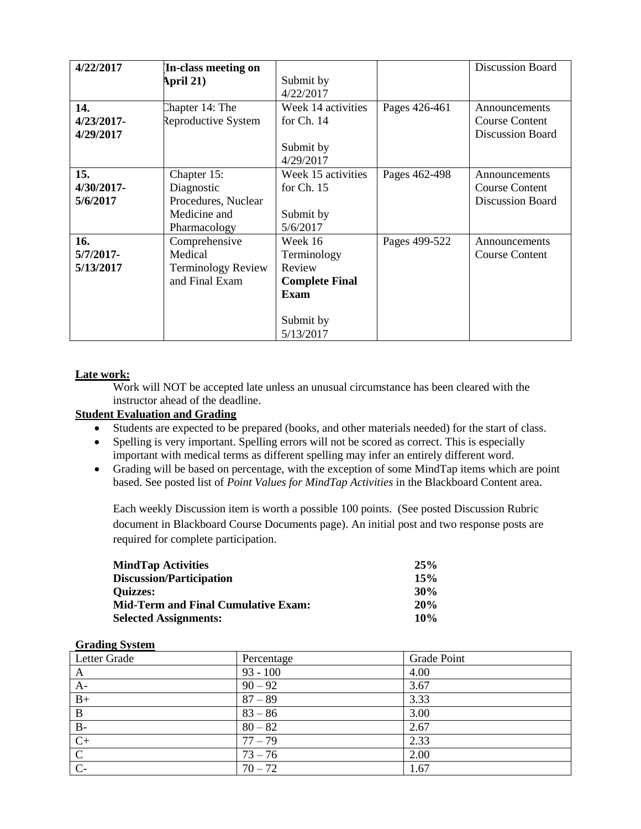| 4/22/2017     | In-class meeting on       |                       |               | <b>Discussion Board</b> |
|---------------|---------------------------|-----------------------|---------------|-------------------------|
|               | April 21)                 | Submit by             |               |                         |
|               |                           | 4/22/2017             |               |                         |
| 14.           | Chapter 14: The           | Week 14 activities    | Pages 426-461 | Announcements           |
| $4/23/2017$ - | Reproductive System       | for $Ch. 14$          |               | Course Content          |
| 4/29/2017     |                           |                       |               | <b>Discussion Board</b> |
|               |                           | Submit by             |               |                         |
|               |                           | 4/29/2017             |               |                         |
| 15.           | Chapter 15:               | Week 15 activities    | Pages 462-498 | Announcements           |
| $4/30/2017$ - | Diagnostic                | for $Ch. 15$          |               | <b>Course Content</b>   |
| 5/6/2017      | Procedures, Nuclear       |                       |               | <b>Discussion Board</b> |
|               | Medicine and              | Submit by             |               |                         |
|               | Pharmacology              | 5/6/2017              |               |                         |
| 16.           | Comprehensive             | Week 16               | Pages 499-522 | Announcements           |
| $5/7/2017$ -  | Medical                   | Terminology           |               | <b>Course Content</b>   |
| 5/13/2017     | <b>Terminology Review</b> | Review                |               |                         |
|               | and Final Exam            | <b>Complete Final</b> |               |                         |
|               |                           | <b>Exam</b>           |               |                         |
|               |                           |                       |               |                         |
|               |                           | Submit by             |               |                         |
|               |                           | 5/13/2017             |               |                         |

# **Late work:**

Work will NOT be accepted late unless an unusual circumstance has been cleared with the instructor ahead of the deadline.

## **Student Evaluation and Grading**

- Students are expected to be prepared (books, and other materials needed) for the start of class.
- Spelling is very important. Spelling errors will not be scored as correct. This is especially important with medical terms as different spelling may infer an entirely different word.
- Grading will be based on percentage, with the exception of some MindTap items which are point based. See posted list of *Point Values for MindTap Activities* in the Blackboard Content area.

Each weekly Discussion item is worth a possible 100 points. (See posted Discussion Rubric document in Blackboard Course Documents page). An initial post and two response posts are required for complete participation.

| <b>MindTap Activities</b>                  | 25% |
|--------------------------------------------|-----|
| <b>Discussion/Participation</b>            | 15% |
| <b>Ouizzes:</b>                            | 30% |
| <b>Mid-Term and Final Cumulative Exam:</b> | 20% |
| <b>Selected Assignments:</b>               | 10% |

#### **Grading System**

| Letter Grade            | Percentage | <b>Grade Point</b> |
|-------------------------|------------|--------------------|
| A                       | $93 - 100$ | 4.00               |
| $A-$                    | $90 - 92$  | 3.67               |
| $B+$                    | $87 - 89$  | 3.33               |
| $\, {\bf B}$            | $83 - 86$  | 3.00               |
| $\, {\bf B}$ -          | $80 - 82$  | 2.67               |
| $C+$                    | $77 - 79$  | 2.33               |
| $\overline{\mathbf{C}}$ | $73 - 76$  | 2.00               |
| $C-$                    | $70 - 72$  | 1.67               |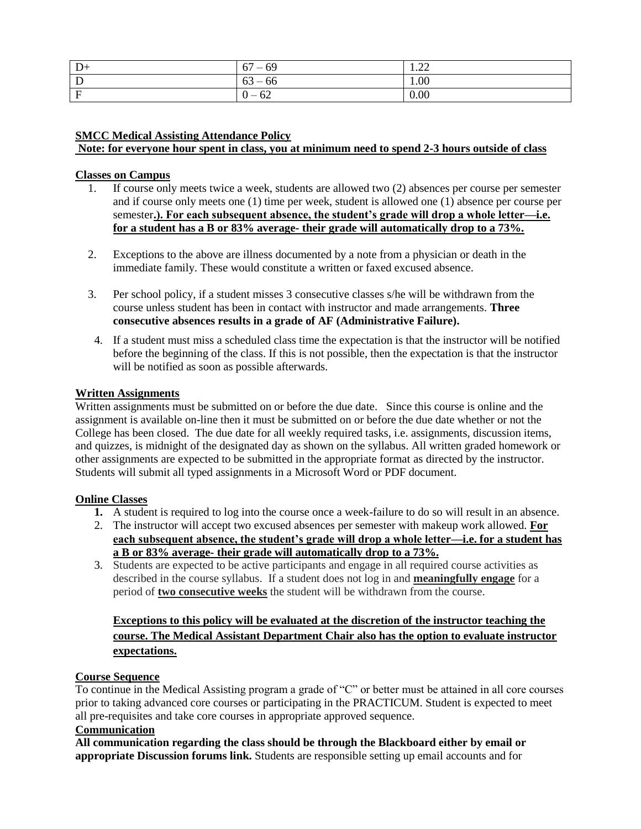| D<br>$D+$ | $-69$<br>67 | $\Omega$<br>$\sqrt{1.44}$ |
|-----------|-------------|---------------------------|
|           | $63 - 66$   | 1.00                      |
|           | $0 - 62$    | 0.00                      |

# **SMCC Medical Assisting Attendance Policy**

**Note: for everyone hour spent in class, you at minimum need to spend 2-3 hours outside of class**

#### **Classes on Campus**

- 1. If course only meets twice a week, students are allowed two (2) absences per course per semester and if course only meets one (1) time per week, student is allowed one (1) absence per course per semester**.). For each subsequent absence, the student's grade will drop a whole letter—i.e. for a student has a B or 83% average- their grade will automatically drop to a 73%.**
- 2. Exceptions to the above are illness documented by a note from a physician or death in the immediate family. These would constitute a written or faxed excused absence.
- 3. Per school policy, if a student misses 3 consecutive classes s/he will be withdrawn from the course unless student has been in contact with instructor and made arrangements. **Three consecutive absences results in a grade of AF (Administrative Failure).**
- 4. If a student must miss a scheduled class time the expectation is that the instructor will be notified before the beginning of the class. If this is not possible, then the expectation is that the instructor will be notified as soon as possible afterwards.

### **Written Assignments**

Written assignments must be submitted on or before the due date. Since this course is online and the assignment is available on-line then it must be submitted on or before the due date whether or not the College has been closed. The due date for all weekly required tasks, i.e. assignments, discussion items, and quizzes, is midnight of the designated day as shown on the syllabus. All written graded homework or other assignments are expected to be submitted in the appropriate format as directed by the instructor. Students will submit all typed assignments in a Microsoft Word or PDF document.

### **Online Classes**

- **1.** A student is required to log into the course once a week-failure to do so will result in an absence.
- 2. The instructor will accept two excused absences per semester with makeup work allowed. **For each subsequent absence, the student's grade will drop a whole letter—i.e. for a student has a B or 83% average- their grade will automatically drop to a 73%.**
- 3. Students are expected to be active participants and engage in all required course activities as described in the course syllabus. If a student does not log in and **meaningfully engage** for a period of **two consecutive weeks** the student will be withdrawn from the course.

# **Exceptions to this policy will be evaluated at the discretion of the instructor teaching the course. The Medical Assistant Department Chair also has the option to evaluate instructor expectations.**

### **Course Sequence**

To continue in the Medical Assisting program a grade of "C" or better must be attained in all core courses prior to taking advanced core courses or participating in the PRACTICUM. Student is expected to meet all pre-requisites and take core courses in appropriate approved sequence.

# **Communication**

**All communication regarding the class should be through the Blackboard either by email or appropriate Discussion forums link.** Students are responsible setting up email accounts and for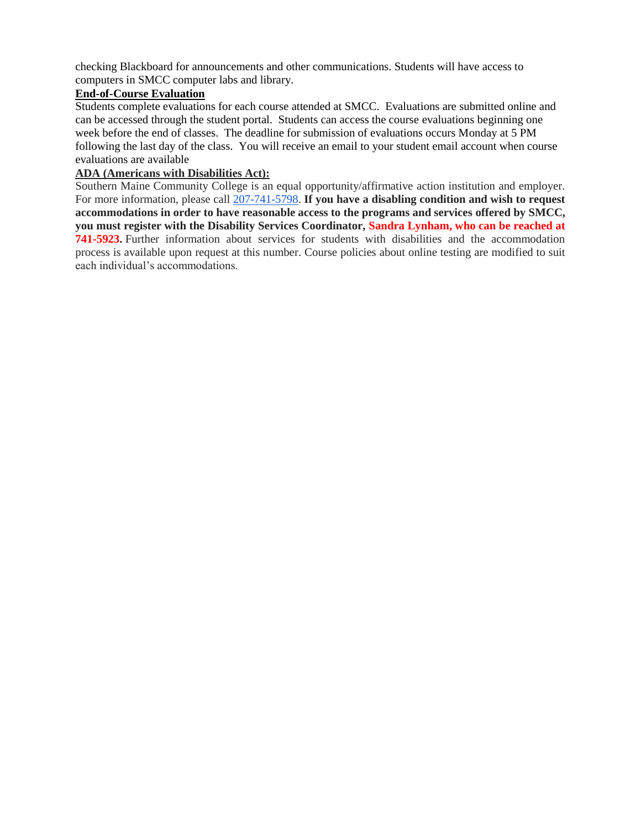checking Blackboard for announcements and other communications. Students will have access to computers in SMCC computer labs and library.

# **End-of-Course Evaluation**

Students complete evaluations for each course attended at SMCC. Evaluations are submitted online and can be accessed through the student portal. Students can access the course evaluations beginning one week before the end of classes. The deadline for submission of evaluations occurs Monday at 5 PM following the last day of the class. You will receive an email to your student email account when course evaluations are available

# **ADA (Americans with Disabilities Act):**

Southern Maine Community College is an equal opportunity/affirmative action institution and employer. For more information, please call [207-741-5798.](tel:207-741-5798) **If you have a disabling condition and wish to request accommodations in order to have reasonable access to the programs and services offered by SMCC, you must register with the Disability Services Coordinator, Sandra Lynham, who can be reached at 741-5923.** Further information about services for students with disabilities and the accommodation process is available upon request at this number. Course policies about online testing are modified to suit each individual's accommodations.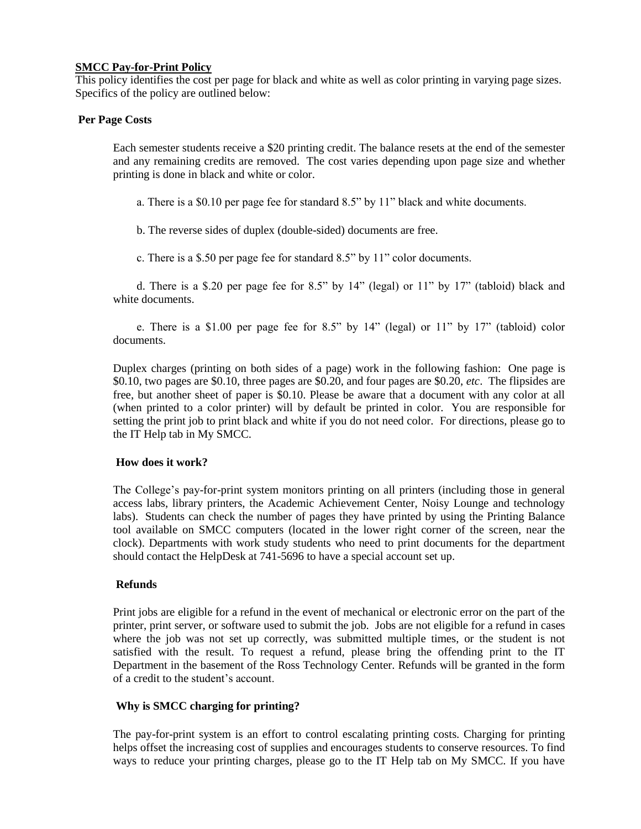#### **SMCC Pay-for-Print Policy**

This policy identifies the cost per page for black and white as well as color printing in varying page sizes. Specifics of the policy are outlined below:

#### **Per Page Costs**

Each semester students receive a \$20 printing credit. The balance resets at the end of the semester and any remaining credits are removed. The cost varies depending upon page size and whether printing is done in black and white or color.

a. There is a \$0.10 per page fee for standard 8.5" by 11" black and white documents.

b. The reverse sides of duplex (double-sided) documents are free.

c. There is a \$.50 per page fee for standard 8.5" by 11" color documents.

d. There is a \$.20 per page fee for 8.5" by 14" (legal) or 11" by 17" (tabloid) black and white documents.

e. There is a \$1.00 per page fee for 8.5" by 14" (legal) or 11" by 17" (tabloid) color documents.

Duplex charges (printing on both sides of a page) work in the following fashion: One page is \$0.10, two pages are \$0.10, three pages are \$0.20, and four pages are \$0.20, *etc*. The flipsides are free, but another sheet of paper is \$0.10. Please be aware that a document with any color at all (when printed to a color printer) will by default be printed in color. You are responsible for setting the print job to print black and white if you do not need color. For directions, please go to the IT Help tab in My SMCC.

### **How does it work?**

The College's pay-for-print system monitors printing on all printers (including those in general access labs, library printers, the Academic Achievement Center, Noisy Lounge and technology labs). Students can check the number of pages they have printed by using the Printing Balance tool available on SMCC computers (located in the lower right corner of the screen, near the clock). Departments with work study students who need to print documents for the department should contact the HelpDesk at 741-5696 to have a special account set up.

### **Refunds**

Print jobs are eligible for a refund in the event of mechanical or electronic error on the part of the printer, print server, or software used to submit the job. Jobs are not eligible for a refund in cases where the job was not set up correctly, was submitted multiple times, or the student is not satisfied with the result. To request a refund, please bring the offending print to the IT Department in the basement of the Ross Technology Center. Refunds will be granted in the form of a credit to the student's account.

### **Why is SMCC charging for printing?**

The pay-for-print system is an effort to control escalating printing costs. Charging for printing helps offset the increasing cost of supplies and encourages students to conserve resources. To find ways to reduce your printing charges, please go to the IT Help tab on My SMCC. If you have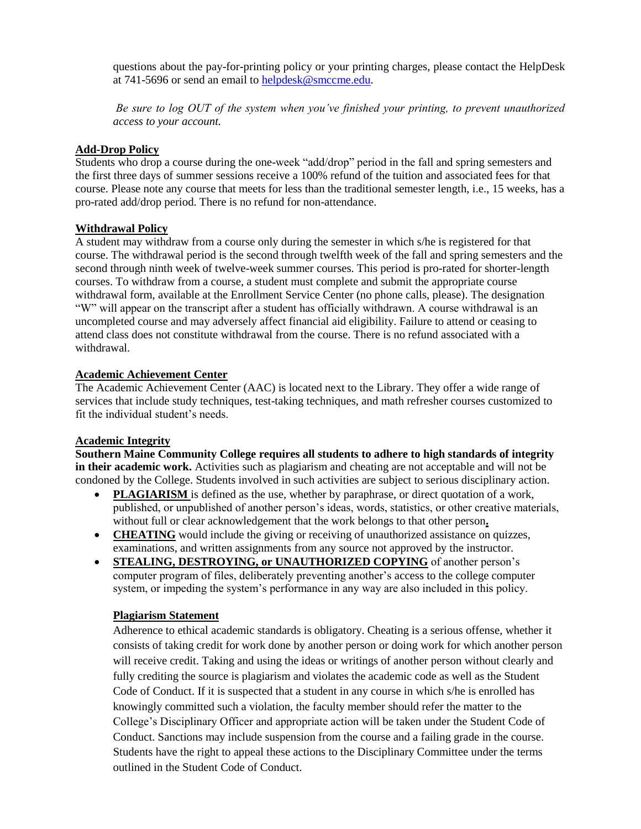questions about the pay-for-printing policy or your printing charges, please contact the HelpDesk at 741-5696 or send an email to [helpdesk@smccme.edu.](mailto:helpdesk@smccme.edu)

*Be sure to log OUT of the system when you've finished your printing, to prevent unauthorized access to your account.*

# **Add-Drop Policy**

Students who drop a course during the one-week "add/drop" period in the fall and spring semesters and the first three days of summer sessions receive a 100% refund of the tuition and associated fees for that course. Please note any course that meets for less than the traditional semester length, i.e., 15 weeks, has a pro-rated add/drop period. There is no refund for non-attendance.

# **Withdrawal Policy**

A student may withdraw from a course only during the semester in which s/he is registered for that course. The withdrawal period is the second through twelfth week of the fall and spring semesters and the second through ninth week of twelve-week summer courses. This period is pro-rated for shorter-length courses. To withdraw from a course, a student must complete and submit the appropriate course withdrawal form, available at the Enrollment Service Center (no phone calls, please). The designation "W" will appear on the transcript after a student has officially withdrawn. A course withdrawal is an uncompleted course and may adversely affect financial aid eligibility. Failure to attend or ceasing to attend class does not constitute withdrawal from the course. There is no refund associated with a withdrawal.

# **Academic Achievement Center**

The Academic Achievement Center (AAC) is located next to the Library. They offer a wide range of services that include study techniques, test-taking techniques, and math refresher courses customized to fit the individual student's needs.

### **Academic Integrity**

**Southern Maine Community College requires all students to adhere to high standards of integrity in their academic work.** Activities such as plagiarism and cheating are not acceptable and will not be condoned by the College. Students involved in such activities are subject to serious disciplinary action.

- **PLAGIARISM** is defined as the use, whether by paraphrase, or direct quotation of a work, published, or unpublished of another person's ideas, words, statistics, or other creative materials, without full or clear acknowledgement that the work belongs to that other person**.**
- **CHEATING** would include the giving or receiving of unauthorized assistance on quizzes, examinations, and written assignments from any source not approved by the instructor.
- **STEALING, DESTROYING, or UNAUTHORIZED COPYING** of another person's computer program of files, deliberately preventing another's access to the college computer system, or impeding the system's performance in any way are also included in this policy.

# **Plagiarism Statement**

Adherence to ethical academic standards is obligatory. Cheating is a serious offense, whether it consists of taking credit for work done by another person or doing work for which another person will receive credit. Taking and using the ideas or writings of another person without clearly and fully crediting the source is plagiarism and violates the academic code as well as the Student Code of Conduct. If it is suspected that a student in any course in which s/he is enrolled has knowingly committed such a violation, the faculty member should refer the matter to the College's Disciplinary Officer and appropriate action will be taken under the Student Code of Conduct. Sanctions may include suspension from the course and a failing grade in the course. Students have the right to appeal these actions to the Disciplinary Committee under the terms outlined in the Student Code of Conduct.